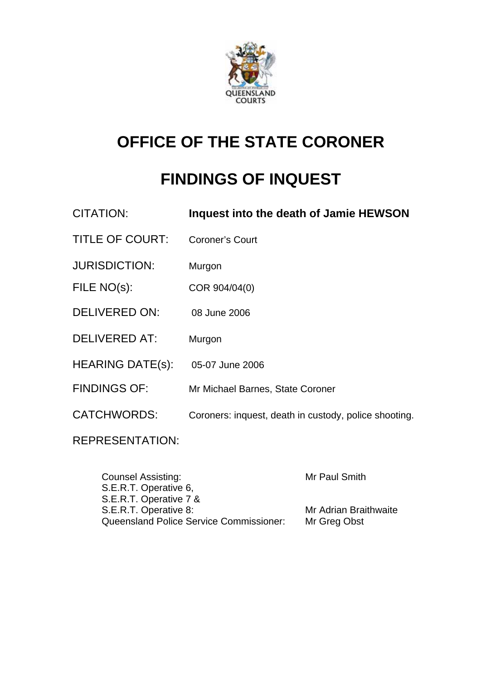

# **OFFICE OF THE STATE CORONER**

# **FINDINGS OF INQUEST**

| CITATION:               | Inquest into the death of Jamie HEWSON                |
|-------------------------|-------------------------------------------------------|
| <b>TITLE OF COURT:</b>  | <b>Coroner's Court</b>                                |
| <b>JURISDICTION:</b>    | Murgon                                                |
| FILE NO(s):             | COR 904/04(0)                                         |
| <b>DELIVERED ON:</b>    | 08 June 2006                                          |
| <b>DELIVERED AT:</b>    | Murgon                                                |
| <b>HEARING DATE(s):</b> | 05-07 June 2006                                       |
| <b>FINDINGS OF:</b>     | Mr Michael Barnes, State Coroner                      |
| <b>CATCHWORDS:</b>      | Coroners: inquest, death in custody, police shooting. |
| <b>REPRESENTATION:</b>  |                                                       |

| <b>Counsel Assisting:</b>                      | Mr Paul Smith         |
|------------------------------------------------|-----------------------|
| S.E.R.T. Operative 6,                          |                       |
| S.E.R.T. Operative 7 &                         |                       |
| S.E.R.T. Operative 8:                          | Mr Adrian Braithwaite |
| <b>Queensland Police Service Commissioner:</b> | Mr Greg Obst          |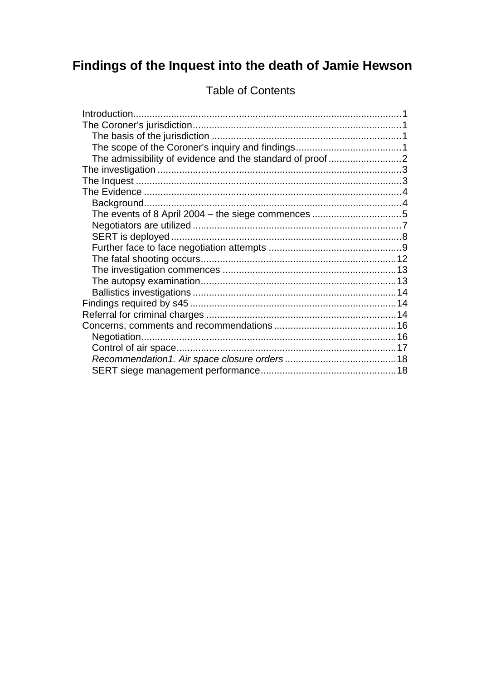# Findings of the Inquest into the death of Jamie Hewson

| The admissibility of evidence and the standard of proof2 |  |
|----------------------------------------------------------|--|
|                                                          |  |
|                                                          |  |
|                                                          |  |
|                                                          |  |
|                                                          |  |
|                                                          |  |
|                                                          |  |
|                                                          |  |
|                                                          |  |
|                                                          |  |
|                                                          |  |
|                                                          |  |
|                                                          |  |
|                                                          |  |
|                                                          |  |
|                                                          |  |
|                                                          |  |
|                                                          |  |
|                                                          |  |

# **Table of Contents**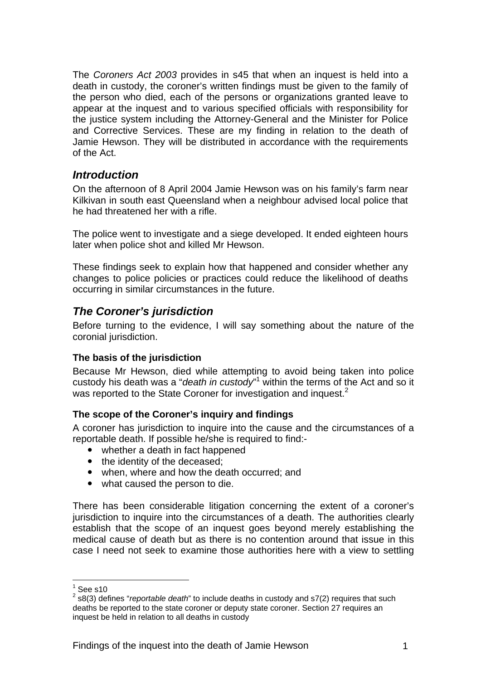The *Coroners Act 2003* provides in s45 that when an inquest is held into a death in custody, the coroner's written findings must be given to the family of the person who died, each of the persons or organizations granted leave to appear at the inquest and to various specified officials with responsibility for the justice system including the Attorney-General and the Minister for Police and Corrective Services. These are my finding in relation to the death of Jamie Hewson. They will be distributed in accordance with the requirements of the Act.

### *Introduction*

On the afternoon of 8 April 2004 Jamie Hewson was on his family's farm near Kilkivan in south east Queensland when a neighbour advised local police that he had threatened her with a rifle.

The police went to investigate and a siege developed. It ended eighteen hours later when police shot and killed Mr Hewson.

These findings seek to explain how that happened and consider whether any changes to police policies or practices could reduce the likelihood of deaths occurring in similar circumstances in the future.

# *The Coroner's jurisdiction*

Before turning to the evidence, I will say something about the nature of the coronial jurisdiction.

#### **The basis of the jurisdiction**

Because Mr Hewson, died while attempting to avoid being taken into police custody his death was a "*death in custody*"<sup>1</sup> within the terms of the Act and so it was reported to the State Coroner for investigation and inquest.<sup>2</sup>

#### **The scope of the Coroner's inquiry and findings**

A coroner has jurisdiction to inquire into the cause and the circumstances of a reportable death. If possible he/she is required to find:-

- whether a death in fact happened
- the identity of the deceased;
- when, where and how the death occurred; and
- what caused the person to die.

There has been considerable litigation concerning the extent of a coroner's jurisdiction to inquire into the circumstances of a death. The authorities clearly establish that the scope of an inquest goes beyond merely establishing the medical cause of death but as there is no contention around that issue in this case I need not seek to examine those authorities here with a view to settling

 $\frac{1}{1}$ See s10

<sup>2</sup> s8(3) defines "*reportable death*" to include deaths in custody and s7(2) requires that such deaths be reported to the state coroner or deputy state coroner. Section 27 requires an inquest be held in relation to all deaths in custody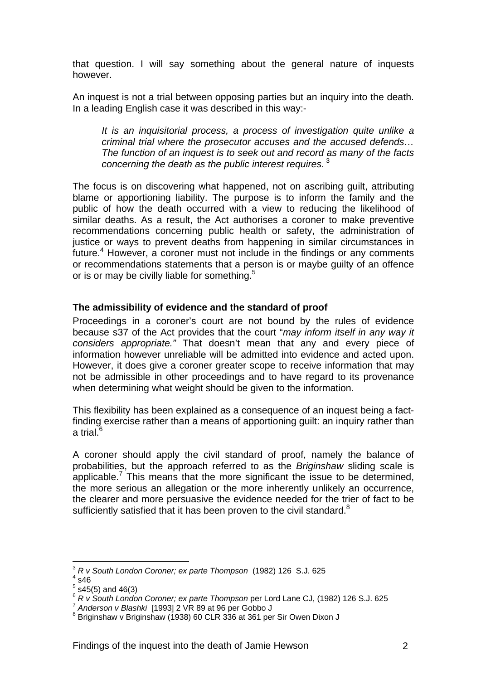that question. I will say something about the general nature of inquests however.

An inquest is not a trial between opposing parties but an inquiry into the death. In a leading English case it was described in this way:-

*It is an inquisitorial process, a process of investigation quite unlike a criminal trial where the prosecutor accuses and the accused defends… The function of an inquest is to seek out and record as many of the facts concerning the death as the public interest requires.*<sup>3</sup>

The focus is on discovering what happened, not on ascribing guilt, attributing blame or apportioning liability. The purpose is to inform the family and the public of how the death occurred with a view to reducing the likelihood of similar deaths. As a result, the Act authorises a coroner to make preventive recommendations concerning public health or safety, the administration of justice or ways to prevent deaths from happening in similar circumstances in future.<sup>4</sup> However, a coroner must not include in the findings or any comments or recommendations statements that a person is or maybe guilty of an offence or is or may be civilly liable for something.<sup>5</sup>

#### **The admissibility of evidence and the standard of proof**

Proceedings in a coroner's court are not bound by the rules of evidence because s37 of the Act provides that the court "*may inform itself in any way it considers appropriate."* That doesn't mean that any and every piece of information however unreliable will be admitted into evidence and acted upon. However, it does give a coroner greater scope to receive information that may not be admissible in other proceedings and to have regard to its provenance when determining what weight should be given to the information.

This flexibility has been explained as a consequence of an inquest being a factfinding exercise rather than a means of apportioning guilt: an inquiry rather than a trial. $^6$ i,

A coroner should apply the civil standard of proof, namely the balance of probabilities, but the approach referred to as the *Briginshaw* sliding scale is applicable.<sup>7</sup> This means that the more significant the issue to be determined, the more serious an allegation or the more inherently unlikely an occurrence, the clearer and more persuasive the evidence needed for the trier of fact to be sufficiently satisfied that it has been proven to the civil standard. $8$ 

1

<sup>3</sup> *R v South London Coroner; ex parte Thompson* (1982) 126 S.J. 625 4

 $4$  s46

 $<sup>5</sup>$  s45(5) and 46(3)</sup>

<sup>6</sup> *R v South London Coroner; ex parte Thompson* per Lord Lane CJ, (1982) 126 S.J. 625<br><sup>7</sup> Anderson v Blashki [1993] 2 VR 89 at 96 per Gobbo J

 $8$  Briginshaw v Briginshaw (1938) 60 CLR 336 at 361 per Sir Owen Dixon J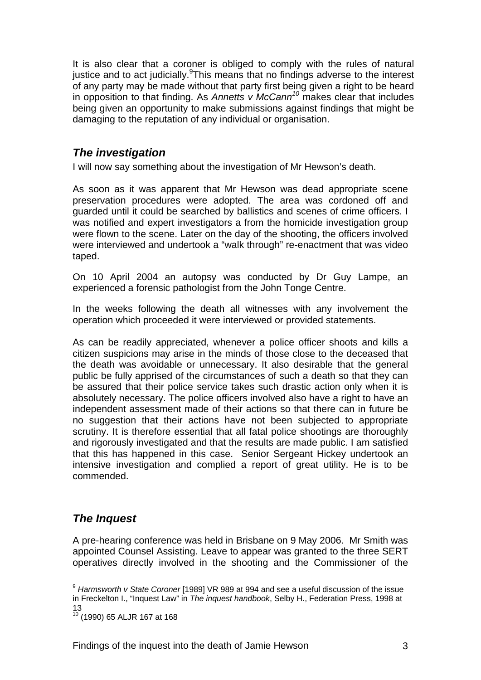It is also clear that a coroner is obliged to comply with the rules of natural justice and to act judicially. This means that no findings adverse to the interest of any party may be made without that party first being given a right to be heard in opposition to that finding. As *Annetts v McCann<sup>10</sup>* makes clear that includes being given an opportunity to make submissions against findings that might be damaging to the reputation of any individual or organisation.

# *The investigation*

I will now say something about the investigation of Mr Hewson's death.

As soon as it was apparent that Mr Hewson was dead appropriate scene preservation procedures were adopted. The area was cordoned off and guarded until it could be searched by ballistics and scenes of crime officers. I was notified and expert investigators a from the homicide investigation group were flown to the scene. Later on the day of the shooting, the officers involved were interviewed and undertook a "walk through" re-enactment that was video taped.

On 10 April 2004 an autopsy was conducted by Dr Guy Lampe, an experienced a forensic pathologist from the John Tonge Centre.

In the weeks following the death all witnesses with any involvement the operation which proceeded it were interviewed or provided statements.

As can be readily appreciated, whenever a police officer shoots and kills a citizen suspicions may arise in the minds of those close to the deceased that the death was avoidable or unnecessary. It also desirable that the general public be fully apprised of the circumstances of such a death so that they can be assured that their police service takes such drastic action only when it is absolutely necessary. The police officers involved also have a right to have an independent assessment made of their actions so that there can in future be no suggestion that their actions have not been subjected to appropriate scrutiny. It is therefore essential that all fatal police shootings are thoroughly and rigorously investigated and that the results are made public. I am satisfied that this has happened in this case. Senior Sergeant Hickey undertook an intensive investigation and complied a report of great utility. He is to be commended.

# *The Inquest*

1

A pre-hearing conference was held in Brisbane on 9 May 2006. Mr Smith was appointed Counsel Assisting. Leave to appear was granted to the three SERT operatives directly involved in the shooting and the Commissioner of the

<sup>9</sup> *Harmsworth v State Coroner* [1989] VR 989 at 994 and see a useful discussion of the issue in Freckelton I., "Inquest Law" in *The inquest handbook*, Selby H., Federation Press, 1998 at 13

<sup>10 (1990) 65</sup> ALJR 167 at 168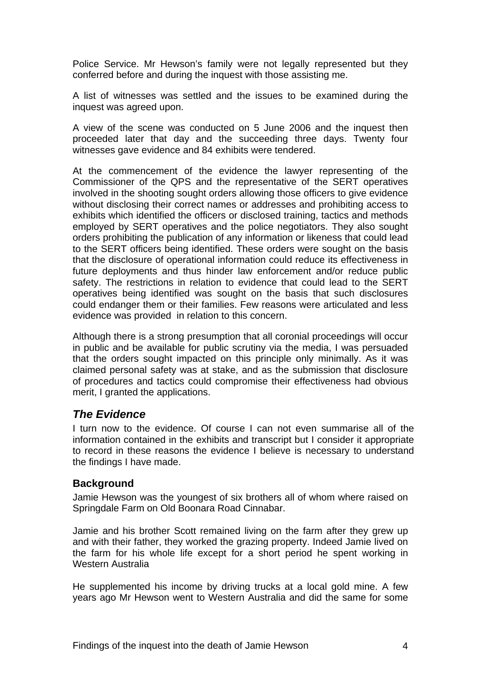Police Service. Mr Hewson's family were not legally represented but they conferred before and during the inquest with those assisting me.

A list of witnesses was settled and the issues to be examined during the inquest was agreed upon.

A view of the scene was conducted on 5 June 2006 and the inquest then proceeded later that day and the succeeding three days. Twenty four witnesses gave evidence and 84 exhibits were tendered.

At the commencement of the evidence the lawyer representing of the Commissioner of the QPS and the representative of the SERT operatives involved in the shooting sought orders allowing those officers to give evidence without disclosing their correct names or addresses and prohibiting access to exhibits which identified the officers or disclosed training, tactics and methods employed by SERT operatives and the police negotiators. They also sought orders prohibiting the publication of any information or likeness that could lead to the SERT officers being identified. These orders were sought on the basis that the disclosure of operational information could reduce its effectiveness in future deployments and thus hinder law enforcement and/or reduce public safety. The restrictions in relation to evidence that could lead to the SERT operatives being identified was sought on the basis that such disclosures could endanger them or their families. Few reasons were articulated and less evidence was provided in relation to this concern.

Although there is a strong presumption that all coronial proceedings will occur in public and be available for public scrutiny via the media, I was persuaded that the orders sought impacted on this principle only minimally. As it was claimed personal safety was at stake, and as the submission that disclosure of procedures and tactics could compromise their effectiveness had obvious merit, I granted the applications.

# *The Evidence*

I turn now to the evidence. Of course I can not even summarise all of the information contained in the exhibits and transcript but I consider it appropriate to record in these reasons the evidence I believe is necessary to understand the findings I have made.

#### **Background**

Jamie Hewson was the youngest of six brothers all of whom where raised on Springdale Farm on Old Boonara Road Cinnabar.

Jamie and his brother Scott remained living on the farm after they grew up and with their father, they worked the grazing property. Indeed Jamie lived on the farm for his whole life except for a short period he spent working in Western Australia

He supplemented his income by driving trucks at a local gold mine. A few years ago Mr Hewson went to Western Australia and did the same for some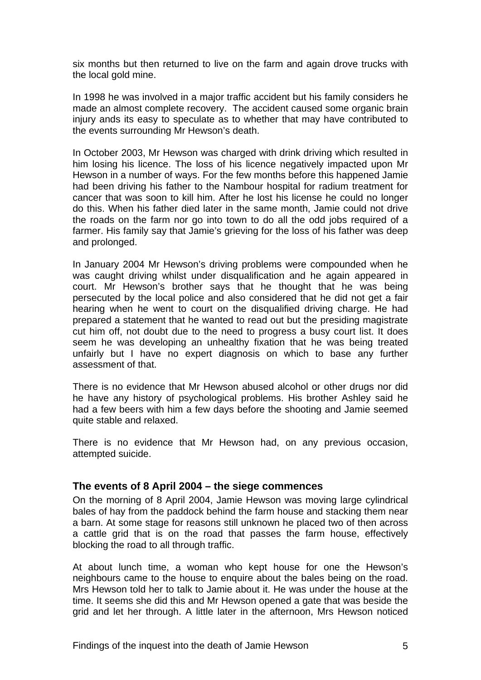six months but then returned to live on the farm and again drove trucks with the local gold mine.

In 1998 he was involved in a major traffic accident but his family considers he made an almost complete recovery. The accident caused some organic brain injury ands its easy to speculate as to whether that may have contributed to the events surrounding Mr Hewson's death.

In October 2003, Mr Hewson was charged with drink driving which resulted in him losing his licence. The loss of his licence negatively impacted upon Mr Hewson in a number of ways. For the few months before this happened Jamie had been driving his father to the Nambour hospital for radium treatment for cancer that was soon to kill him. After he lost his license he could no longer do this. When his father died later in the same month, Jamie could not drive the roads on the farm nor go into town to do all the odd jobs required of a farmer. His family say that Jamie's grieving for the loss of his father was deep and prolonged.

In January 2004 Mr Hewson's driving problems were compounded when he was caught driving whilst under disqualification and he again appeared in court. Mr Hewson's brother says that he thought that he was being persecuted by the local police and also considered that he did not get a fair hearing when he went to court on the disqualified driving charge. He had prepared a statement that he wanted to read out but the presiding magistrate cut him off, not doubt due to the need to progress a busy court list. It does seem he was developing an unhealthy fixation that he was being treated unfairly but I have no expert diagnosis on which to base any further assessment of that.

There is no evidence that Mr Hewson abused alcohol or other drugs nor did he have any history of psychological problems. His brother Ashley said he had a few beers with him a few days before the shooting and Jamie seemed quite stable and relaxed.

There is no evidence that Mr Hewson had, on any previous occasion, attempted suicide.

#### **The events of 8 April 2004 – the siege commences**

On the morning of 8 April 2004, Jamie Hewson was moving large cylindrical bales of hay from the paddock behind the farm house and stacking them near a barn. At some stage for reasons still unknown he placed two of then across a cattle grid that is on the road that passes the farm house, effectively blocking the road to all through traffic.

At about lunch time, a woman who kept house for one the Hewson's neighbours came to the house to enquire about the bales being on the road. Mrs Hewson told her to talk to Jamie about it. He was under the house at the time. It seems she did this and Mr Hewson opened a gate that was beside the grid and let her through. A little later in the afternoon, Mrs Hewson noticed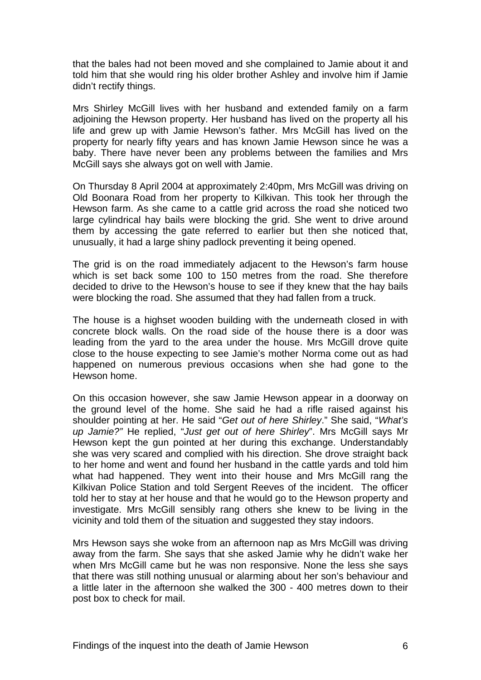that the bales had not been moved and she complained to Jamie about it and told him that she would ring his older brother Ashley and involve him if Jamie didn't rectify things.

Mrs Shirley McGill lives with her husband and extended family on a farm adjoining the Hewson property. Her husband has lived on the property all his life and grew up with Jamie Hewson's father. Mrs McGill has lived on the property for nearly fifty years and has known Jamie Hewson since he was a baby. There have never been any problems between the families and Mrs McGill says she always got on well with Jamie.

On Thursday 8 April 2004 at approximately 2:40pm, Mrs McGill was driving on Old Boonara Road from her property to Kilkivan. This took her through the Hewson farm. As she came to a cattle grid across the road she noticed two large cylindrical hay bails were blocking the grid. She went to drive around them by accessing the gate referred to earlier but then she noticed that, unusually, it had a large shiny padlock preventing it being opened.

The grid is on the road immediately adjacent to the Hewson's farm house which is set back some 100 to 150 metres from the road. She therefore decided to drive to the Hewson's house to see if they knew that the hay bails were blocking the road. She assumed that they had fallen from a truck.

The house is a highset wooden building with the underneath closed in with concrete block walls. On the road side of the house there is a door was leading from the yard to the area under the house. Mrs McGill drove quite close to the house expecting to see Jamie's mother Norma come out as had happened on numerous previous occasions when she had gone to the Hewson home.

On this occasion however, she saw Jamie Hewson appear in a doorway on the ground level of the home. She said he had a rifle raised against his shoulder pointing at her. He said "*Get out of here Shirley*." She said, "*What's up Jamie?"* He replied, "*Just get out of here Shirley*". Mrs McGill says Mr Hewson kept the gun pointed at her during this exchange. Understandably she was very scared and complied with his direction. She drove straight back to her home and went and found her husband in the cattle yards and told him what had happened. They went into their house and Mrs McGill rang the Kilkivan Police Station and told Sergent Reeves of the incident. The officer told her to stay at her house and that he would go to the Hewson property and investigate. Mrs McGill sensibly rang others she knew to be living in the vicinity and told them of the situation and suggested they stay indoors.

Mrs Hewson says she woke from an afternoon nap as Mrs McGill was driving away from the farm. She says that she asked Jamie why he didn't wake her when Mrs McGill came but he was non responsive. None the less she says that there was still nothing unusual or alarming about her son's behaviour and a little later in the afternoon she walked the 300 - 400 metres down to their post box to check for mail.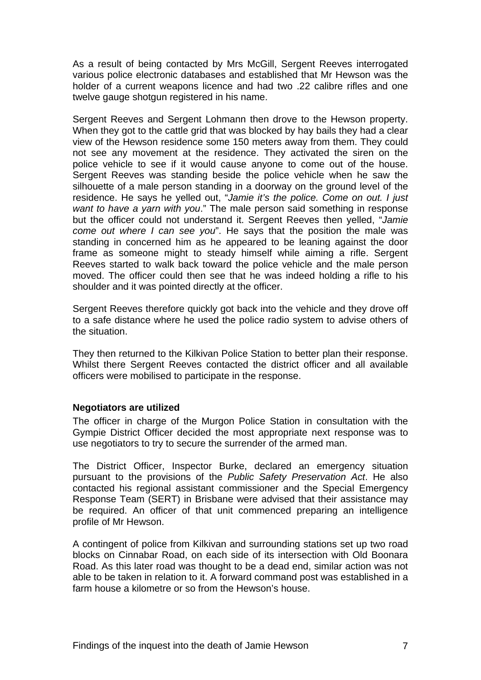As a result of being contacted by Mrs McGill, Sergent Reeves interrogated various police electronic databases and established that Mr Hewson was the holder of a current weapons licence and had two .22 calibre rifles and one twelve gauge shotgun registered in his name.

Sergent Reeves and Sergent Lohmann then drove to the Hewson property. When they got to the cattle grid that was blocked by hay bails they had a clear view of the Hewson residence some 150 meters away from them. They could not see any movement at the residence. They activated the siren on the police vehicle to see if it would cause anyone to come out of the house. Sergent Reeves was standing beside the police vehicle when he saw the silhouette of a male person standing in a doorway on the ground level of the residence. He says he yelled out, "*Jamie it's the police. Come on out. I just want to have a yarn with you*." The male person said something in response but the officer could not understand it. Sergent Reeves then yelled, "*Jamie come out where I can see you*". He says that the position the male was standing in concerned him as he appeared to be leaning against the door frame as someone might to steady himself while aiming a rifle. Sergent Reeves started to walk back toward the police vehicle and the male person moved. The officer could then see that he was indeed holding a rifle to his shoulder and it was pointed directly at the officer.

Sergent Reeves therefore quickly got back into the vehicle and they drove off to a safe distance where he used the police radio system to advise others of the situation.

They then returned to the Kilkivan Police Station to better plan their response. Whilst there Sergent Reeves contacted the district officer and all available officers were mobilised to participate in the response.

#### **Negotiators are utilized**

The officer in charge of the Murgon Police Station in consultation with the Gympie District Officer decided the most appropriate next response was to use negotiators to try to secure the surrender of the armed man.

The District Officer, Inspector Burke, declared an emergency situation pursuant to the provisions of the *Public Safety Preservation Act*. He also contacted his regional assistant commissioner and the Special Emergency Response Team (SERT) in Brisbane were advised that their assistance may be required. An officer of that unit commenced preparing an intelligence profile of Mr Hewson.

A contingent of police from Kilkivan and surrounding stations set up two road blocks on Cinnabar Road, on each side of its intersection with Old Boonara Road. As this later road was thought to be a dead end, similar action was not able to be taken in relation to it. A forward command post was established in a farm house a kilometre or so from the Hewson's house.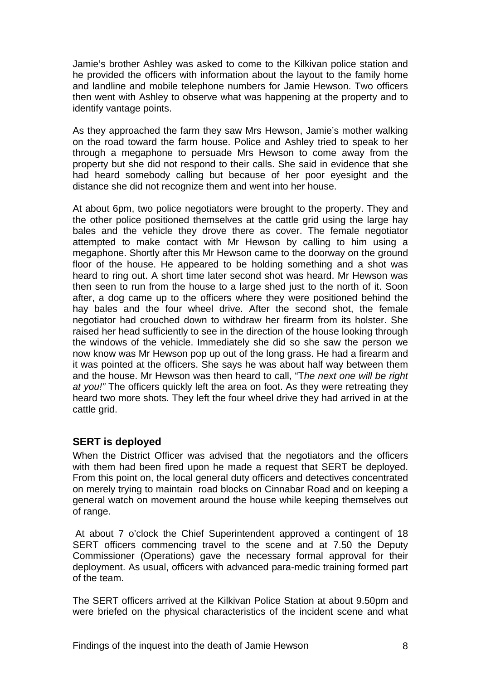Jamie's brother Ashley was asked to come to the Kilkivan police station and he provided the officers with information about the layout to the family home and landline and mobile telephone numbers for Jamie Hewson. Two officers then went with Ashley to observe what was happening at the property and to identify vantage points.

As they approached the farm they saw Mrs Hewson, Jamie's mother walking on the road toward the farm house. Police and Ashley tried to speak to her through a megaphone to persuade Mrs Hewson to come away from the property but she did not respond to their calls. She said in evidence that she had heard somebody calling but because of her poor eyesight and the distance she did not recognize them and went into her house.

At about 6pm, two police negotiators were brought to the property. They and the other police positioned themselves at the cattle grid using the large hay bales and the vehicle they drove there as cover. The female negotiator attempted to make contact with Mr Hewson by calling to him using a megaphone. Shortly after this Mr Hewson came to the doorway on the ground floor of the house. He appeared to be holding something and a shot was heard to ring out. A short time later second shot was heard. Mr Hewson was then seen to run from the house to a large shed just to the north of it. Soon after, a dog came up to the officers where they were positioned behind the hay bales and the four wheel drive. After the second shot, the female negotiator had crouched down to withdraw her firearm from its holster. She raised her head sufficiently to see in the direction of the house looking through the windows of the vehicle. Immediately she did so she saw the person we now know was Mr Hewson pop up out of the long grass. He had a firearm and it was pointed at the officers. She says he was about half way between them and the house. Mr Hewson was then heard to call, "T*he next one will be right at you!"* The officers quickly left the area on foot. As they were retreating they heard two more shots. They left the four wheel drive they had arrived in at the cattle grid.

#### **SERT is deployed**

When the District Officer was advised that the negotiators and the officers with them had been fired upon he made a request that SERT be deployed. From this point on, the local general duty officers and detectives concentrated on merely trying to maintain road blocks on Cinnabar Road and on keeping a general watch on movement around the house while keeping themselves out of range.

 At about 7 o'clock the Chief Superintendent approved a contingent of 18 SERT officers commencing travel to the scene and at 7.50 the Deputy Commissioner (Operations) gave the necessary formal approval for their deployment. As usual, officers with advanced para-medic training formed part of the team.

The SERT officers arrived at the Kilkivan Police Station at about 9.50pm and were briefed on the physical characteristics of the incident scene and what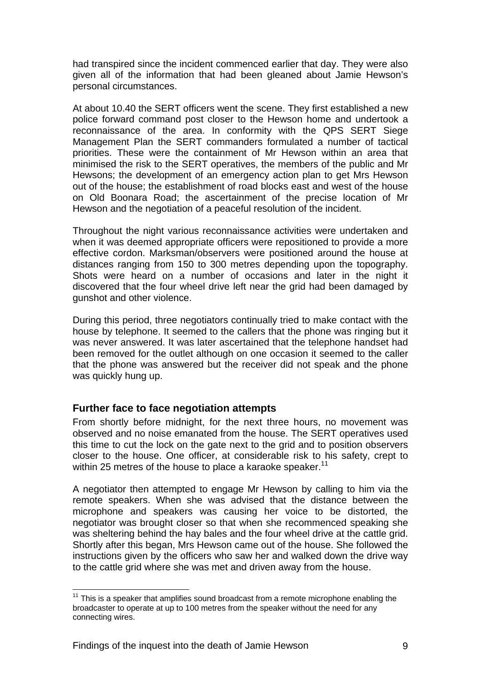had transpired since the incident commenced earlier that day. They were also given all of the information that had been gleaned about Jamie Hewson's personal circumstances.

At about 10.40 the SERT officers went the scene. They first established a new police forward command post closer to the Hewson home and undertook a reconnaissance of the area. In conformity with the QPS SERT Siege Management Plan the SERT commanders formulated a number of tactical priorities. These were the containment of Mr Hewson within an area that minimised the risk to the SERT operatives, the members of the public and Mr Hewsons; the development of an emergency action plan to get Mrs Hewson out of the house; the establishment of road blocks east and west of the house on Old Boonara Road; the ascertainment of the precise location of Mr Hewson and the negotiation of a peaceful resolution of the incident.

Throughout the night various reconnaissance activities were undertaken and when it was deemed appropriate officers were repositioned to provide a more effective cordon. Marksman/observers were positioned around the house at distances ranging from 150 to 300 metres depending upon the topography. Shots were heard on a number of occasions and later in the night it discovered that the four wheel drive left near the grid had been damaged by gunshot and other violence.

During this period, three negotiators continually tried to make contact with the house by telephone. It seemed to the callers that the phone was ringing but it was never answered. It was later ascertained that the telephone handset had been removed for the outlet although on one occasion it seemed to the caller that the phone was answered but the receiver did not speak and the phone was quickly hung up.

#### **Further face to face negotiation attempts**

From shortly before midnight, for the next three hours, no movement was observed and no noise emanated from the house. The SERT operatives used this time to cut the lock on the gate next to the grid and to position observers closer to the house. One officer, at considerable risk to his safety, crept to within 25 metres of the house to place a karaoke speaker.<sup>11</sup>

A negotiator then attempted to engage Mr Hewson by calling to him via the remote speakers. When she was advised that the distance between the microphone and speakers was causing her voice to be distorted, the negotiator was brought closer so that when she recommenced speaking she was sheltering behind the hay bales and the four wheel drive at the cattle grid. Shortly after this began, Mrs Hewson came out of the house. She followed the instructions given by the officers who saw her and walked down the drive way to the cattle grid where she was met and driven away from the house.

<sup>1</sup>  $11$  This is a speaker that amplifies sound broadcast from a remote microphone enabling the broadcaster to operate at up to 100 metres from the speaker without the need for any connecting wires.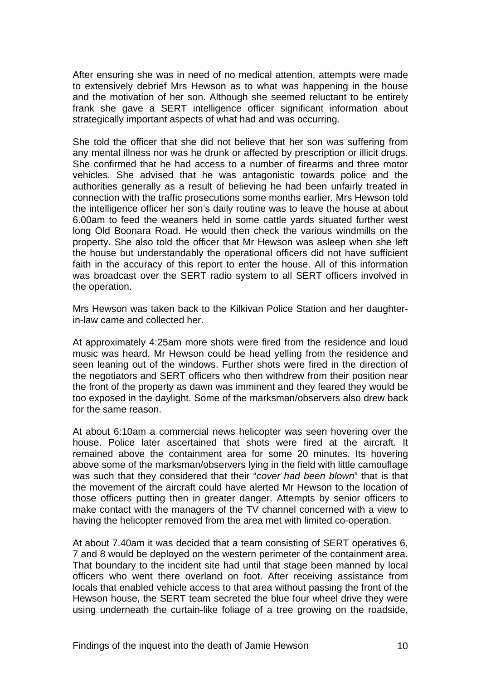After ensuring she was in need of no medical attention, attempts were made to extensively debrief Mrs Hewson as to what was happening in the house and the motivation of her son. Although she seemed reluctant to be entirely frank she gave a SERT intelligence officer significant information about strategically important aspects of what had and was occurring.

She told the officer that she did not believe that her son was suffering from any mental illness nor was he drunk or affected by prescription or illicit drugs. She confirmed that he had access to a number of firearms and three motor vehicles. She advised that he was antagonistic towards police and the authorities generally as a result of believing he had been unfairly treated in connection with the traffic prosecutions some months earlier. Mrs Hewson told the intelligence officer her son's daily routine was to leave the house at about 6.00am to feed the weaners held in some cattle yards situated further west long Old Boonara Road. He would then check the various windmills on the property. She also told the officer that Mr Hewson was asleep when she left the house but understandably the operational officers did not have sufficient faith in the accuracy of this report to enter the house. All of this information was broadcast over the SERT radio system to all SERT officers involved in the operation.

Mrs Hewson was taken back to the Kilkivan Police Station and her daughterin-law came and collected her.

At approximately 4:25am more shots were fired from the residence and loud music was heard. Mr Hewson could be head yelling from the residence and seen leaning out of the windows. Further shots were fired in the direction of the negotiators and SERT officers who then withdrew from their position near the front of the property as dawn was imminent and they feared they would be too exposed in the daylight. Some of the marksman/observers also drew back for the same reason.

At about 6:10am a commercial news helicopter was seen hovering over the house. Police later ascertained that shots were fired at the aircraft. It remained above the containment area for some 20 minutes. Its hovering above some of the marksman/observers lying in the field with little camouflage was such that they considered that their "*cover had been blown*" that is that the movement of the aircraft could have alerted Mr Hewson to the location of those officers putting then in greater danger. Attempts by senior officers to make contact with the managers of the TV channel concerned with a view to having the helicopter removed from the area met with limited co-operation.

At about 7.40am it was decided that a team consisting of SERT operatives 6, 7 and 8 would be deployed on the western perimeter of the containment area. That boundary to the incident site had until that stage been manned by local officers who went there overland on foot. After receiving assistance from locals that enabled vehicle access to that area without passing the front of the Hewson house, the SERT team secreted the blue four wheel drive they were using underneath the curtain-like foliage of a tree growing on the roadside,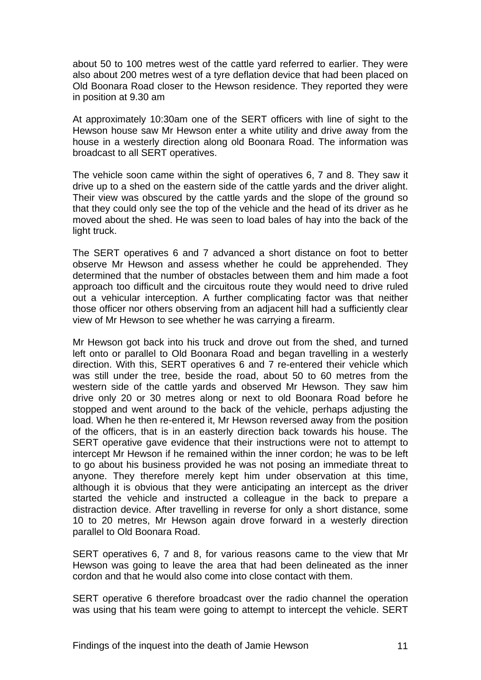about 50 to 100 metres west of the cattle yard referred to earlier. They were also about 200 metres west of a tyre deflation device that had been placed on Old Boonara Road closer to the Hewson residence. They reported they were in position at 9.30 am

At approximately 10:30am one of the SERT officers with line of sight to the Hewson house saw Mr Hewson enter a white utility and drive away from the house in a westerly direction along old Boonara Road. The information was broadcast to all SERT operatives.

The vehicle soon came within the sight of operatives 6, 7 and 8. They saw it drive up to a shed on the eastern side of the cattle yards and the driver alight. Their view was obscured by the cattle yards and the slope of the ground so that they could only see the top of the vehicle and the head of its driver as he moved about the shed. He was seen to load bales of hay into the back of the light truck.

The SERT operatives 6 and 7 advanced a short distance on foot to better observe Mr Hewson and assess whether he could be apprehended. They determined that the number of obstacles between them and him made a foot approach too difficult and the circuitous route they would need to drive ruled out a vehicular interception. A further complicating factor was that neither those officer nor others observing from an adjacent hill had a sufficiently clear view of Mr Hewson to see whether he was carrying a firearm.

Mr Hewson got back into his truck and drove out from the shed, and turned left onto or parallel to Old Boonara Road and began travelling in a westerly direction. With this, SERT operatives 6 and 7 re-entered their vehicle which was still under the tree, beside the road, about 50 to 60 metres from the western side of the cattle yards and observed Mr Hewson. They saw him drive only 20 or 30 metres along or next to old Boonara Road before he stopped and went around to the back of the vehicle, perhaps adjusting the load. When he then re-entered it, Mr Hewson reversed away from the position of the officers, that is in an easterly direction back towards his house. The SERT operative gave evidence that their instructions were not to attempt to intercept Mr Hewson if he remained within the inner cordon; he was to be left to go about his business provided he was not posing an immediate threat to anyone. They therefore merely kept him under observation at this time, although it is obvious that they were anticipating an intercept as the driver started the vehicle and instructed a colleague in the back to prepare a distraction device. After travelling in reverse for only a short distance, some 10 to 20 metres, Mr Hewson again drove forward in a westerly direction parallel to Old Boonara Road.

SERT operatives 6, 7 and 8, for various reasons came to the view that Mr Hewson was going to leave the area that had been delineated as the inner cordon and that he would also come into close contact with them.

SERT operative 6 therefore broadcast over the radio channel the operation was using that his team were going to attempt to intercept the vehicle. SERT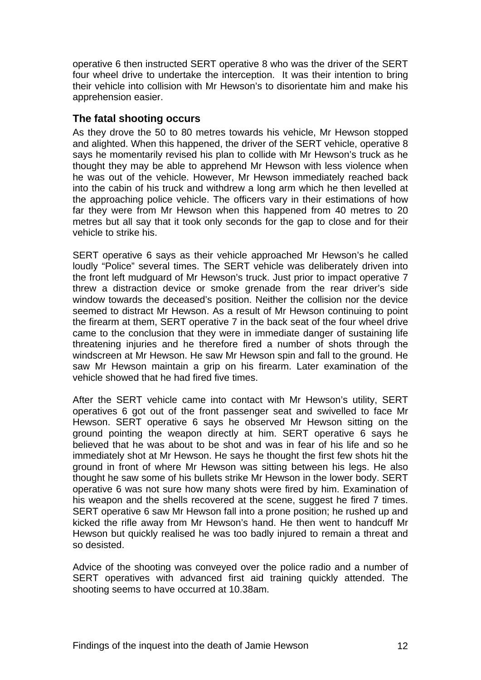operative 6 then instructed SERT operative 8 who was the driver of the SERT four wheel drive to undertake the interception. It was their intention to bring their vehicle into collision with Mr Hewson's to disorientate him and make his apprehension easier.

#### **The fatal shooting occurs**

As they drove the 50 to 80 metres towards his vehicle, Mr Hewson stopped and alighted. When this happened, the driver of the SERT vehicle, operative 8 says he momentarily revised his plan to collide with Mr Hewson's truck as he thought they may be able to apprehend Mr Hewson with less violence when he was out of the vehicle. However, Mr Hewson immediately reached back into the cabin of his truck and withdrew a long arm which he then levelled at the approaching police vehicle. The officers vary in their estimations of how far they were from Mr Hewson when this happened from 40 metres to 20 metres but all say that it took only seconds for the gap to close and for their vehicle to strike his.

SERT operative 6 says as their vehicle approached Mr Hewson's he called loudly "Police" several times. The SERT vehicle was deliberately driven into the front left mudguard of Mr Hewson's truck. Just prior to impact operative 7 threw a distraction device or smoke grenade from the rear driver's side window towards the deceased's position. Neither the collision nor the device seemed to distract Mr Hewson. As a result of Mr Hewson continuing to point the firearm at them, SERT operative 7 in the back seat of the four wheel drive came to the conclusion that they were in immediate danger of sustaining life threatening injuries and he therefore fired a number of shots through the windscreen at Mr Hewson. He saw Mr Hewson spin and fall to the ground. He saw Mr Hewson maintain a grip on his firearm. Later examination of the vehicle showed that he had fired five times.

After the SERT vehicle came into contact with Mr Hewson's utility, SERT operatives 6 got out of the front passenger seat and swivelled to face Mr Hewson. SERT operative 6 says he observed Mr Hewson sitting on the ground pointing the weapon directly at him. SERT operative 6 says he believed that he was about to be shot and was in fear of his life and so he immediately shot at Mr Hewson. He says he thought the first few shots hit the ground in front of where Mr Hewson was sitting between his legs. He also thought he saw some of his bullets strike Mr Hewson in the lower body. SERT operative 6 was not sure how many shots were fired by him. Examination of his weapon and the shells recovered at the scene, suggest he fired 7 times. SERT operative 6 saw Mr Hewson fall into a prone position; he rushed up and kicked the rifle away from Mr Hewson's hand. He then went to handcuff Mr Hewson but quickly realised he was too badly injured to remain a threat and so desisted.

Advice of the shooting was conveyed over the police radio and a number of SERT operatives with advanced first aid training quickly attended. The shooting seems to have occurred at 10.38am.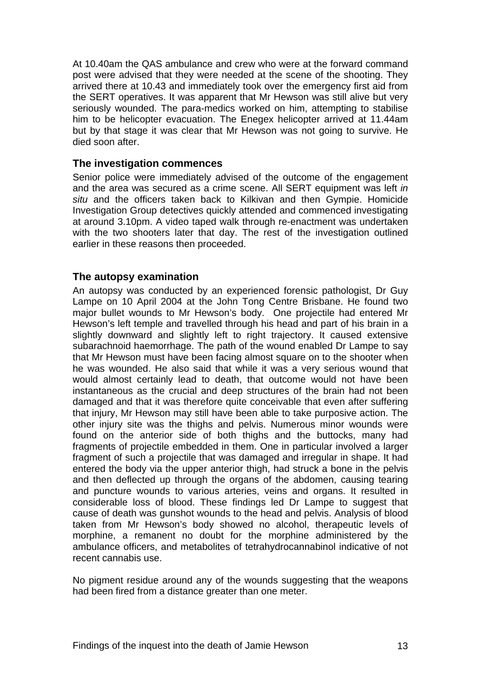At 10.40am the QAS ambulance and crew who were at the forward command post were advised that they were needed at the scene of the shooting. They arrived there at 10.43 and immediately took over the emergency first aid from the SERT operatives. It was apparent that Mr Hewson was still alive but very seriously wounded. The para-medics worked on him, attempting to stabilise him to be helicopter evacuation. The Enegex helicopter arrived at 11.44am but by that stage it was clear that Mr Hewson was not going to survive. He died soon after.

#### **The investigation commences**

Senior police were immediately advised of the outcome of the engagement and the area was secured as a crime scene. All SERT equipment was left *in situ* and the officers taken back to Kilkivan and then Gympie. Homicide Investigation Group detectives quickly attended and commenced investigating at around 3.10pm. A video taped walk through re-enactment was undertaken with the two shooters later that day. The rest of the investigation outlined earlier in these reasons then proceeded.

#### **The autopsy examination**

An autopsy was conducted by an experienced forensic pathologist, Dr Guy Lampe on 10 April 2004 at the John Tong Centre Brisbane. He found two major bullet wounds to Mr Hewson's body. One projectile had entered Mr Hewson's left temple and travelled through his head and part of his brain in a slightly downward and slightly left to right trajectory. It caused extensive subarachnoid haemorrhage. The path of the wound enabled Dr Lampe to say that Mr Hewson must have been facing almost square on to the shooter when he was wounded. He also said that while it was a very serious wound that would almost certainly lead to death, that outcome would not have been instantaneous as the crucial and deep structures of the brain had not been damaged and that it was therefore quite conceivable that even after suffering that injury, Mr Hewson may still have been able to take purposive action. The other injury site was the thighs and pelvis. Numerous minor wounds were found on the anterior side of both thighs and the buttocks, many had fragments of projectile embedded in them. One in particular involved a larger fragment of such a projectile that was damaged and irregular in shape. It had entered the body via the upper anterior thigh, had struck a bone in the pelvis and then deflected up through the organs of the abdomen, causing tearing and puncture wounds to various arteries, veins and organs. It resulted in considerable loss of blood. These findings led Dr Lampe to suggest that cause of death was gunshot wounds to the head and pelvis. Analysis of blood taken from Mr Hewson's body showed no alcohol, therapeutic levels of morphine, a remanent no doubt for the morphine administered by the ambulance officers, and metabolites of tetrahydrocannabinol indicative of not recent cannabis use.

No pigment residue around any of the wounds suggesting that the weapons had been fired from a distance greater than one meter.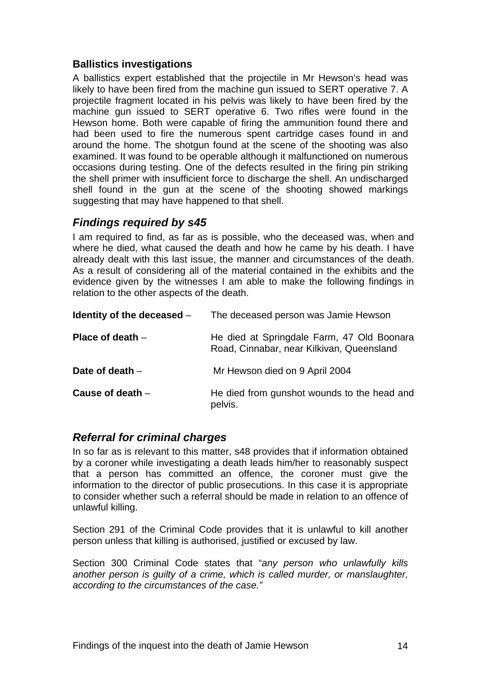## **Ballistics investigations**

A ballistics expert established that the projectile in Mr Hewson's head was likely to have been fired from the machine gun issued to SERT operative 7. A projectile fragment located in his pelvis was likely to have been fired by the machine gun issued to SERT operative 6. Two rifles were found in the Hewson home. Both were capable of firing the ammunition found there and had been used to fire the numerous spent cartridge cases found in and around the home. The shotgun found at the scene of the shooting was also examined. It was found to be operable although it malfunctioned on numerous occasions during testing. One of the defects resulted in the firing pin striking the shell primer with insufficient force to discharge the shell. An undischarged shell found in the gun at the scene of the shooting showed markings suggesting that may have happened to that shell.

# *Findings required by s45*

I am required to find, as far as is possible, who the deceased was, when and where he died, what caused the death and how he came by his death. I have already dealt with this last issue, the manner and circumstances of the death. As a result of considering all of the material contained in the exhibits and the evidence given by the witnesses I am able to make the following findings in relation to the other aspects of the death.

| Identity of the deceased $-$ | The deceased person was Jamie Hewson                                                    |
|------------------------------|-----------------------------------------------------------------------------------------|
| Place of death $-$           | He died at Springdale Farm, 47 Old Boonara<br>Road, Cinnabar, near Kilkivan, Queensland |
| Date of death $-$            | Mr Hewson died on 9 April 2004                                                          |
| Cause of death $-$           | He died from gunshot wounds to the head and<br>pelvis.                                  |

# *Referral for criminal charges*

In so far as is relevant to this matter, s48 provides that if information obtained by a coroner while investigating a death leads him/her to reasonably suspect that a person has committed an offence, the coroner must give the information to the director of public prosecutions. In this case it is appropriate to consider whether such a referral should be made in relation to an offence of unlawful killing.

Section 291 of the Criminal Code provides that it is unlawful to kill another person unless that killing is authorised, justified or excused by law.

Section 300 Criminal Code states that "*any person who unlawfully kills another person is guilty of a crime, which is called murder, or manslaughter, according to the circumstances of the case."*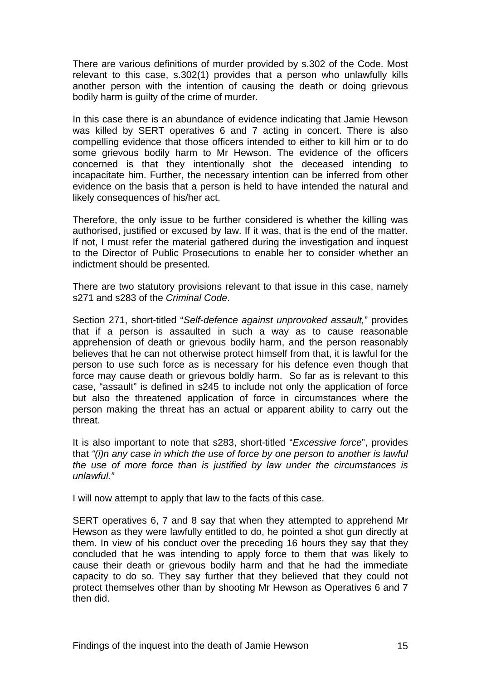There are various definitions of murder provided by s.302 of the Code. Most relevant to this case, s.302(1) provides that a person who unlawfully kills another person with the intention of causing the death or doing grievous bodily harm is guilty of the crime of murder.

In this case there is an abundance of evidence indicating that Jamie Hewson was killed by SERT operatives 6 and 7 acting in concert. There is also compelling evidence that those officers intended to either to kill him or to do some grievous bodily harm to Mr Hewson. The evidence of the officers concerned is that they intentionally shot the deceased intending to incapacitate him. Further, the necessary intention can be inferred from other evidence on the basis that a person is held to have intended the natural and likely consequences of his/her act.

Therefore, the only issue to be further considered is whether the killing was authorised, justified or excused by law. If it was, that is the end of the matter. If not, I must refer the material gathered during the investigation and inquest to the Director of Public Prosecutions to enable her to consider whether an indictment should be presented.

There are two statutory provisions relevant to that issue in this case, namely s271 and s283 of the *Criminal Code*.

Section 271, short-titled "*Self-defence against unprovoked assault,*" provides that if a person is assaulted in such a way as to cause reasonable apprehension of death or grievous bodily harm, and the person reasonably believes that he can not otherwise protect himself from that, it is lawful for the person to use such force as is necessary for his defence even though that force may cause death or grievous boldly harm. So far as is relevant to this case, "assault" is defined in s245 to include not only the application of force but also the threatened application of force in circumstances where the person making the threat has an actual or apparent ability to carry out the threat.

It is also important to note that s283, short-titled "*Excessive force*", provides that *"(i)n any case in which the use of force by one person to another is lawful the use of more force than is justified by law under the circumstances is unlawful."* 

I will now attempt to apply that law to the facts of this case.

SERT operatives 6, 7 and 8 say that when they attempted to apprehend Mr Hewson as they were lawfully entitled to do, he pointed a shot gun directly at them. In view of his conduct over the preceding 16 hours they say that they concluded that he was intending to apply force to them that was likely to cause their death or grievous bodily harm and that he had the immediate capacity to do so. They say further that they believed that they could not protect themselves other than by shooting Mr Hewson as Operatives 6 and 7 then did.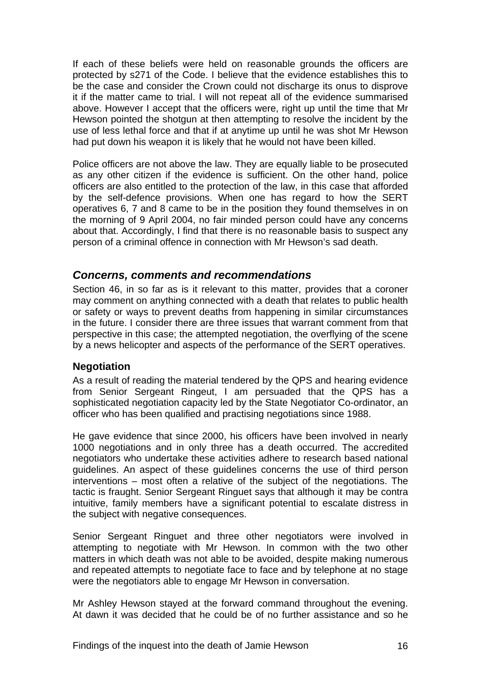If each of these beliefs were held on reasonable grounds the officers are protected by s271 of the Code. I believe that the evidence establishes this to be the case and consider the Crown could not discharge its onus to disprove it if the matter came to trial. I will not repeat all of the evidence summarised above. However I accept that the officers were, right up until the time that Mr Hewson pointed the shotgun at then attempting to resolve the incident by the use of less lethal force and that if at anytime up until he was shot Mr Hewson had put down his weapon it is likely that he would not have been killed.

Police officers are not above the law. They are equally liable to be prosecuted as any other citizen if the evidence is sufficient. On the other hand, police officers are also entitled to the protection of the law, in this case that afforded by the self-defence provisions. When one has regard to how the SERT operatives 6, 7 and 8 came to be in the position they found themselves in on the morning of 9 April 2004, no fair minded person could have any concerns about that. Accordingly, I find that there is no reasonable basis to suspect any person of a criminal offence in connection with Mr Hewson's sad death.

#### *Concerns, comments and recommendations*

Section 46, in so far as is it relevant to this matter, provides that a coroner may comment on anything connected with a death that relates to public health or safety or ways to prevent deaths from happening in similar circumstances in the future. I consider there are three issues that warrant comment from that perspective in this case; the attempted negotiation, the overflying of the scene by a news helicopter and aspects of the performance of the SERT operatives.

#### **Negotiation**

As a result of reading the material tendered by the QPS and hearing evidence from Senior Sergeant Ringeut, I am persuaded that the QPS has a sophisticated negotiation capacity led by the State Negotiator Co-ordinator, an officer who has been qualified and practising negotiations since 1988.

He gave evidence that since 2000, his officers have been involved in nearly 1000 negotiations and in only three has a death occurred. The accredited negotiators who undertake these activities adhere to research based national guidelines. An aspect of these guidelines concerns the use of third person interventions – most often a relative of the subject of the negotiations. The tactic is fraught. Senior Sergeant Ringuet says that although it may be contra intuitive, family members have a significant potential to escalate distress in the subject with negative consequences.

Senior Sergeant Ringuet and three other negotiators were involved in attempting to negotiate with Mr Hewson. In common with the two other matters in which death was not able to be avoided, despite making numerous and repeated attempts to negotiate face to face and by telephone at no stage were the negotiators able to engage Mr Hewson in conversation.

Mr Ashley Hewson stayed at the forward command throughout the evening. At dawn it was decided that he could be of no further assistance and so he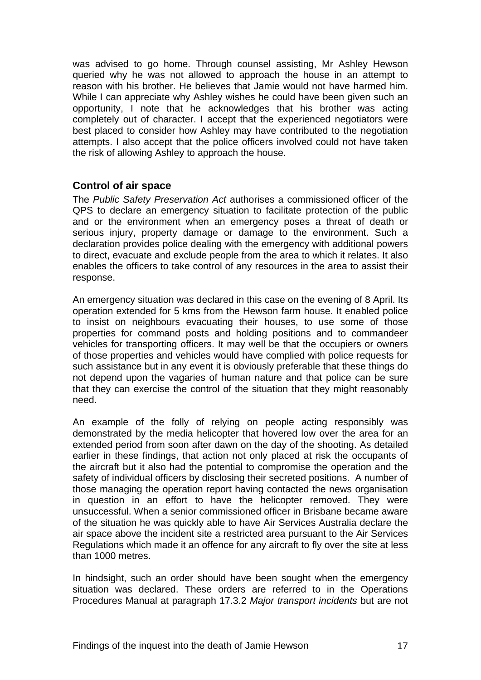was advised to go home. Through counsel assisting, Mr Ashley Hewson queried why he was not allowed to approach the house in an attempt to reason with his brother. He believes that Jamie would not have harmed him. While I can appreciate why Ashley wishes he could have been given such an opportunity, I note that he acknowledges that his brother was acting completely out of character. I accept that the experienced negotiators were best placed to consider how Ashley may have contributed to the negotiation attempts. I also accept that the police officers involved could not have taken the risk of allowing Ashley to approach the house.

#### **Control of air space**

The *Public Safety Preservation Act* authorises a commissioned officer of the QPS to declare an emergency situation to facilitate protection of the public and or the environment when an emergency poses a threat of death or serious injury, property damage or damage to the environment. Such a declaration provides police dealing with the emergency with additional powers to direct, evacuate and exclude people from the area to which it relates. It also enables the officers to take control of any resources in the area to assist their response.

An emergency situation was declared in this case on the evening of 8 April. Its operation extended for 5 kms from the Hewson farm house. It enabled police to insist on neighbours evacuating their houses, to use some of those properties for command posts and holding positions and to commandeer vehicles for transporting officers. It may well be that the occupiers or owners of those properties and vehicles would have complied with police requests for such assistance but in any event it is obviously preferable that these things do not depend upon the vagaries of human nature and that police can be sure that they can exercise the control of the situation that they might reasonably need.

An example of the folly of relying on people acting responsibly was demonstrated by the media helicopter that hovered low over the area for an extended period from soon after dawn on the day of the shooting. As detailed earlier in these findings, that action not only placed at risk the occupants of the aircraft but it also had the potential to compromise the operation and the safety of individual officers by disclosing their secreted positions. A number of those managing the operation report having contacted the news organisation in question in an effort to have the helicopter removed. They were unsuccessful. When a senior commissioned officer in Brisbane became aware of the situation he was quickly able to have Air Services Australia declare the air space above the incident site a restricted area pursuant to the Air Services Regulations which made it an offence for any aircraft to fly over the site at less than 1000 metres.

In hindsight, such an order should have been sought when the emergency situation was declared. These orders are referred to in the Operations Procedures Manual at paragraph 17.3.2 *Major transport incidents* but are not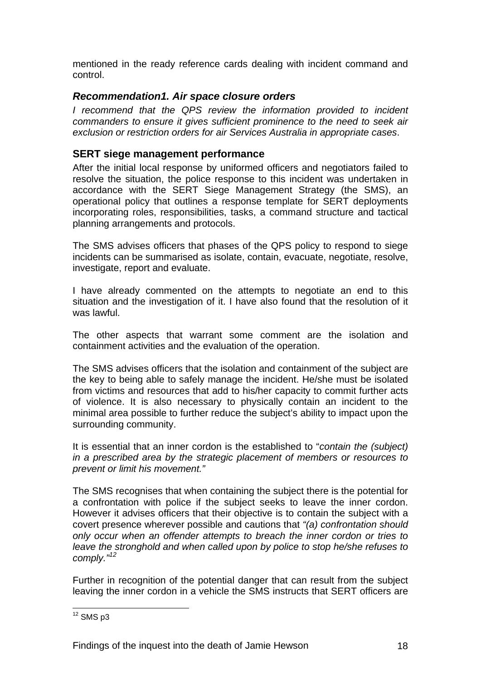mentioned in the ready reference cards dealing with incident command and control.

### *Recommendation1. Air space closure orders*

*I* recommend that the QPS review the information provided to incident *commanders to ensure it gives sufficient prominence to the need to seek air exclusion or restriction orders for air Services Australia in appropriate cases*.

## **SERT siege management performance**

After the initial local response by uniformed officers and negotiators failed to resolve the situation, the police response to this incident was undertaken in accordance with the SERT Siege Management Strategy (the SMS), an operational policy that outlines a response template for SERT deployments incorporating roles, responsibilities, tasks, a command structure and tactical planning arrangements and protocols.

The SMS advises officers that phases of the QPS policy to respond to siege incidents can be summarised as isolate, contain, evacuate, negotiate, resolve, investigate, report and evaluate.

I have already commented on the attempts to negotiate an end to this situation and the investigation of it. I have also found that the resolution of it was lawful.

The other aspects that warrant some comment are the isolation and containment activities and the evaluation of the operation.

The SMS advises officers that the isolation and containment of the subject are the key to being able to safely manage the incident. He/she must be isolated from victims and resources that add to his/her capacity to commit further acts of violence. It is also necessary to physically contain an incident to the minimal area possible to further reduce the subject's ability to impact upon the surrounding community.

It is essential that an inner cordon is the established to "*contain the (subject) in a prescribed area by the strategic placement of members or resources to prevent or limit his movement."* 

The SMS recognises that when containing the subject there is the potential for a confrontation with police if the subject seeks to leave the inner cordon. However it advises officers that their objective is to contain the subject with a covert presence wherever possible and cautions that *"(a) confrontation should only occur when an offender attempts to breach the inner cordon or tries to leave the stronghold and when called upon by police to stop he/she refuses to comply."<sup>12</sup>*

Further in recognition of the potential danger that can result from the subject leaving the inner cordon in a vehicle the SMS instructs that SERT officers are

<sup>1</sup>  $12$  SMS p3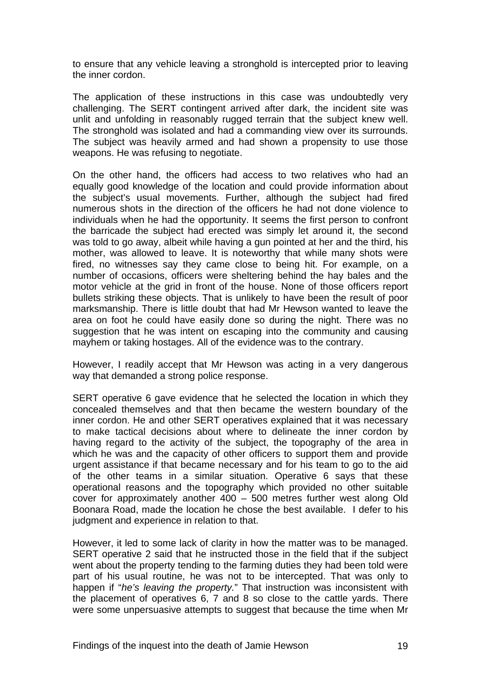to ensure that any vehicle leaving a stronghold is intercepted prior to leaving the inner cordon.

The application of these instructions in this case was undoubtedly very challenging. The SERT contingent arrived after dark, the incident site was unlit and unfolding in reasonably rugged terrain that the subject knew well. The stronghold was isolated and had a commanding view over its surrounds. The subject was heavily armed and had shown a propensity to use those weapons. He was refusing to negotiate.

On the other hand, the officers had access to two relatives who had an equally good knowledge of the location and could provide information about the subject's usual movements. Further, although the subject had fired numerous shots in the direction of the officers he had not done violence to individuals when he had the opportunity. It seems the first person to confront the barricade the subject had erected was simply let around it, the second was told to go away, albeit while having a gun pointed at her and the third, his mother, was allowed to leave. It is noteworthy that while many shots were fired, no witnesses say they came close to being hit. For example, on a number of occasions, officers were sheltering behind the hay bales and the motor vehicle at the grid in front of the house. None of those officers report bullets striking these objects. That is unlikely to have been the result of poor marksmanship. There is little doubt that had Mr Hewson wanted to leave the area on foot he could have easily done so during the night. There was no suggestion that he was intent on escaping into the community and causing mayhem or taking hostages. All of the evidence was to the contrary.

However, I readily accept that Mr Hewson was acting in a very dangerous way that demanded a strong police response.

SERT operative 6 gave evidence that he selected the location in which they concealed themselves and that then became the western boundary of the inner cordon. He and other SERT operatives explained that it was necessary to make tactical decisions about where to delineate the inner cordon by having regard to the activity of the subject, the topography of the area in which he was and the capacity of other officers to support them and provide urgent assistance if that became necessary and for his team to go to the aid of the other teams in a similar situation. Operative 6 says that these operational reasons and the topography which provided no other suitable cover for approximately another 400 – 500 metres further west along Old Boonara Road, made the location he chose the best available. I defer to his judgment and experience in relation to that.

However, it led to some lack of clarity in how the matter was to be managed. SERT operative 2 said that he instructed those in the field that if the subject went about the property tending to the farming duties they had been told were part of his usual routine, he was not to be intercepted. That was only to happen if "*he's leaving the property.*" That instruction was inconsistent with the placement of operatives 6, 7 and 8 so close to the cattle yards. There were some unpersuasive attempts to suggest that because the time when Mr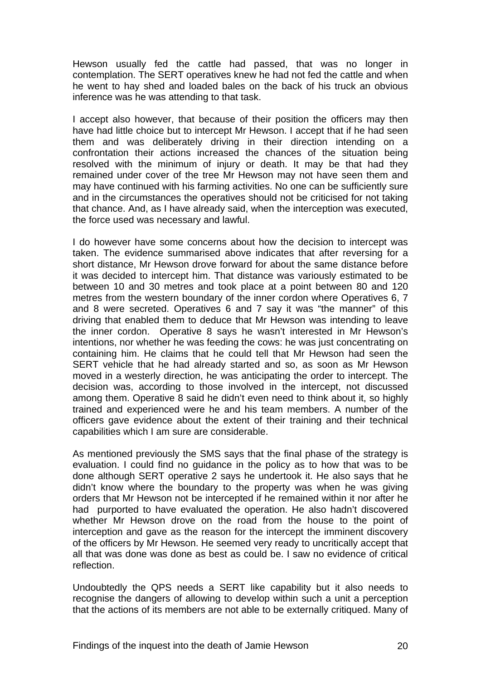Hewson usually fed the cattle had passed, that was no longer in contemplation. The SERT operatives knew he had not fed the cattle and when he went to hay shed and loaded bales on the back of his truck an obvious inference was he was attending to that task.

I accept also however, that because of their position the officers may then have had little choice but to intercept Mr Hewson. I accept that if he had seen them and was deliberately driving in their direction intending on a confrontation their actions increased the chances of the situation being resolved with the minimum of injury or death. It may be that had they remained under cover of the tree Mr Hewson may not have seen them and may have continued with his farming activities. No one can be sufficiently sure and in the circumstances the operatives should not be criticised for not taking that chance. And, as I have already said, when the interception was executed, the force used was necessary and lawful.

I do however have some concerns about how the decision to intercept was taken. The evidence summarised above indicates that after reversing for a short distance, Mr Hewson drove forward for about the same distance before it was decided to intercept him. That distance was variously estimated to be between 10 and 30 metres and took place at a point between 80 and 120 metres from the western boundary of the inner cordon where Operatives 6, 7 and 8 were secreted. Operatives 6 and 7 say it was "the manner" of this driving that enabled them to deduce that Mr Hewson was intending to leave the inner cordon. Operative 8 says he wasn't interested in Mr Hewson's intentions, nor whether he was feeding the cows: he was just concentrating on containing him. He claims that he could tell that Mr Hewson had seen the SERT vehicle that he had already started and so, as soon as Mr Hewson moved in a westerly direction, he was anticipating the order to intercept. The decision was, according to those involved in the intercept, not discussed among them. Operative 8 said he didn't even need to think about it, so highly trained and experienced were he and his team members. A number of the officers gave evidence about the extent of their training and their technical capabilities which I am sure are considerable.

As mentioned previously the SMS says that the final phase of the strategy is evaluation. I could find no guidance in the policy as to how that was to be done although SERT operative 2 says he undertook it. He also says that he didn't know where the boundary to the property was when he was giving orders that Mr Hewson not be intercepted if he remained within it nor after he had purported to have evaluated the operation. He also hadn't discovered whether Mr Hewson drove on the road from the house to the point of interception and gave as the reason for the intercept the imminent discovery of the officers by Mr Hewson. He seemed very ready to uncritically accept that all that was done was done as best as could be. I saw no evidence of critical reflection.

Undoubtedly the QPS needs a SERT like capability but it also needs to recognise the dangers of allowing to develop within such a unit a perception that the actions of its members are not able to be externally critiqued. Many of